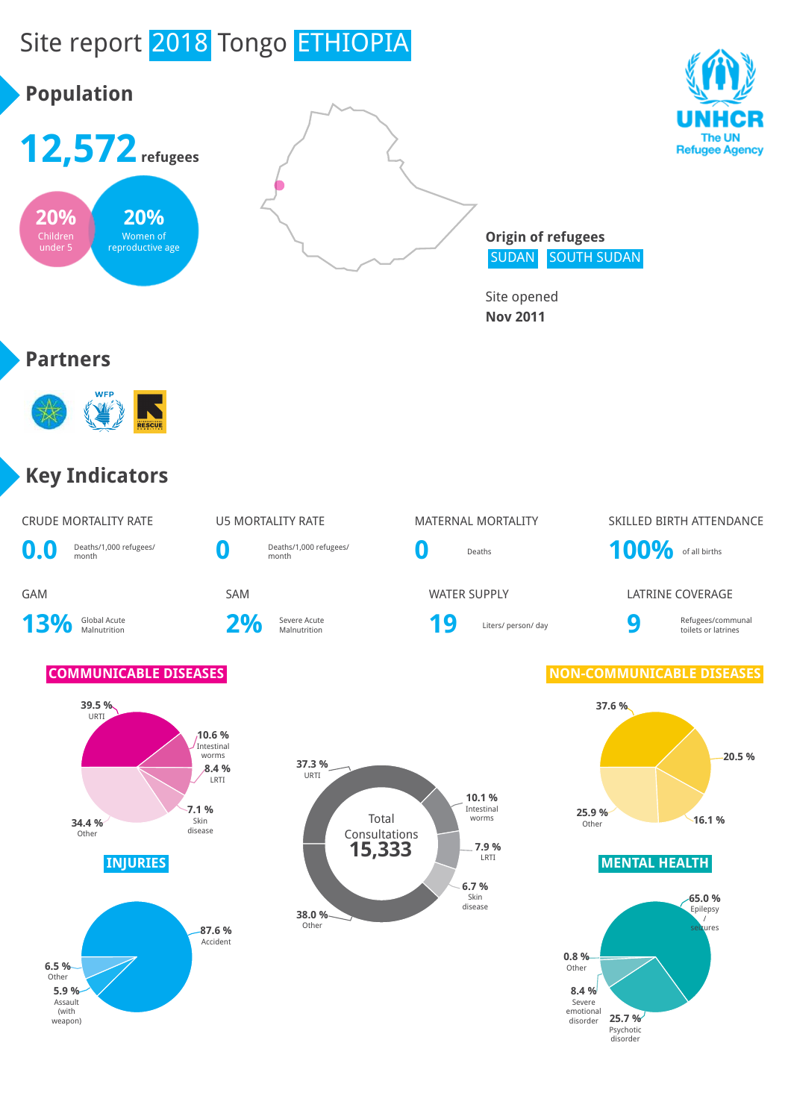

Other





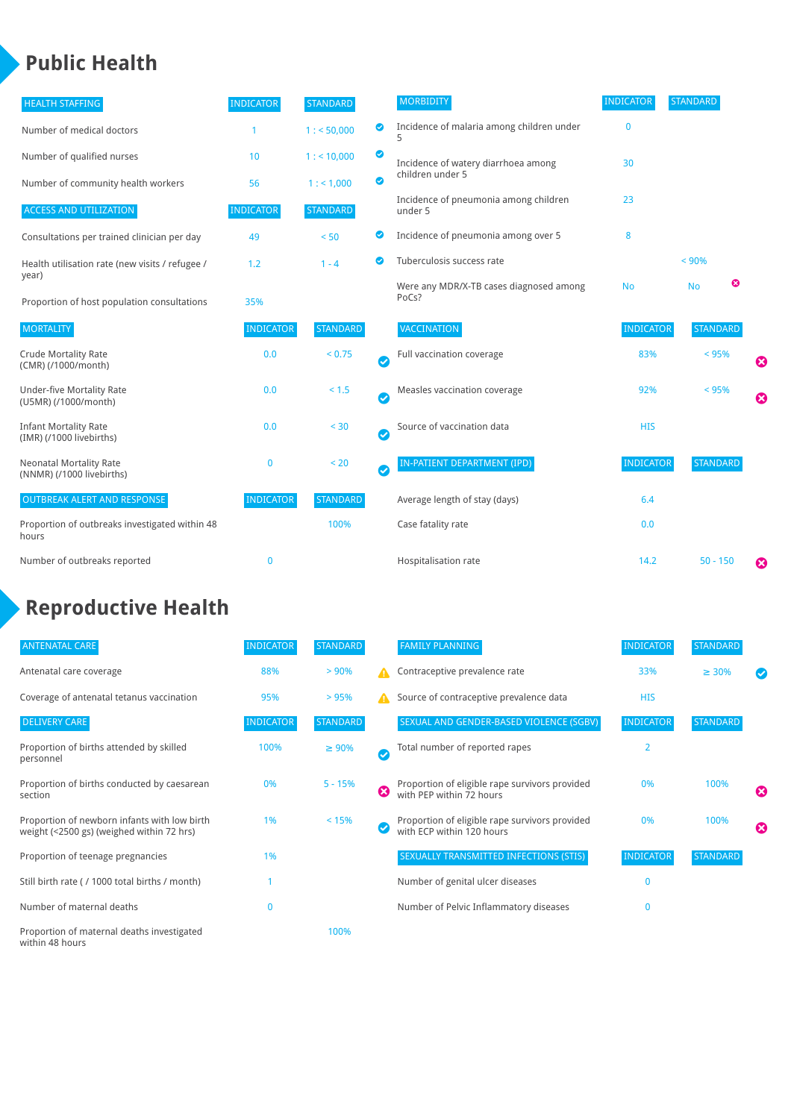### **Public Health**

| <b>HEALTH STAFFING</b>                                      | <b>INDICATOR</b> | <b>STANDARD</b> |           | <b>MORBIDITY</b>                                 | <b>INDICATOR</b> | <b>STANDARD</b> |                       |
|-------------------------------------------------------------|------------------|-----------------|-----------|--------------------------------------------------|------------------|-----------------|-----------------------|
| Number of medical doctors                                   |                  | 1: 50,000       | ◉         | Incidence of malaria among children under        | $\mathbf{0}$     |                 |                       |
| Number of qualified nurses                                  | 10               | $1:$ < 10,000   | ◎         | Incidence of watery diarrhoea among              | 30               |                 |                       |
| Number of community health workers                          | 56               | 1: 1,000        | ◙         | children under 5                                 |                  |                 |                       |
| <b>ACCESS AND UTILIZATION</b>                               | <b>INDICATOR</b> | <b>STANDARD</b> |           | Incidence of pneumonia among children<br>under 5 | 23               |                 |                       |
| Consultations per trained clinician per day                 | 49               | < 50            | ◙         | Incidence of pneumonia among over 5              | 8                |                 |                       |
| Health utilisation rate (new visits / refugee /             | 1.2              | $1 - 4$         |           | Tuberculosis success rate                        |                  | < 90%           |                       |
| year)<br>Proportion of host population consultations        | 35%              |                 |           | Were any MDR/X-TB cases diagnosed among<br>PoCs? | <b>No</b>        | ☺<br><b>No</b>  |                       |
| <b>MORTALITY</b>                                            | <b>INDICATOR</b> | <b>STANDARD</b> |           | <b>VACCINATION</b>                               | <b>INDICATOR</b> | <b>STANDARD</b> |                       |
| <b>Crude Mortality Rate</b><br>(CMR) (/1000/month)          | 0.0              | < 0.75          | $\bullet$ | Full vaccination coverage                        | 83%              | < 95%           | ☺                     |
| <b>Under-five Mortality Rate</b><br>(U5MR) (/1000/month)    | 0.0              | $< 1.5$         | Ø         | Measles vaccination coverage                     | 92%              | < 95%           | $\boldsymbol{\Omega}$ |
| <b>Infant Mortality Rate</b><br>(IMR) (/1000 livebirths)    | 0.0              | < 30            | $\bullet$ | Source of vaccination data                       | <b>HIS</b>       |                 |                       |
| <b>Neonatal Mortality Rate</b><br>(NNMR) (/1000 livebirths) | $\mathbf 0$      | < 20            | $\bullet$ | <b>IN-PATIENT DEPARTMENT (IPD)</b>               | <b>INDICATOR</b> | <b>STANDARD</b> |                       |
| <b>OUTBREAK ALERT AND RESPONSE</b>                          | <b>INDICATOR</b> | <b>STANDARD</b> |           | Average length of stay (days)                    | 6.4              |                 |                       |
| Proportion of outbreaks investigated within 48<br>hours     |                  | 100%            |           | Case fatality rate                               | 0.0              |                 |                       |
| Number of outbreaks reported                                | $\mathbf 0$      |                 |           | Hospitalisation rate                             | 14.2             | $50 - 150$      | €                     |

# **Reproductive Health**

| <b>ANTENATAL CARE</b>                                                                     | <b>INDICATOR</b> | <b>STANDARD</b> |   | <b>FAMILY PLANNING</b>                                                      | <b>INDICATOR</b> | <b>STANDARD</b> |                       |
|-------------------------------------------------------------------------------------------|------------------|-----------------|---|-----------------------------------------------------------------------------|------------------|-----------------|-----------------------|
| Antenatal care coverage                                                                   | 88%              | > 90%           | А | Contraceptive prevalence rate                                               | 33%              | $\geq 30\%$     |                       |
| Coverage of antenatal tetanus vaccination                                                 | 95%              | >95%            | А | Source of contraceptive prevalence data                                     | <b>HIS</b>       |                 |                       |
| <b>DELIVERY CARE</b>                                                                      | <b>INDICATOR</b> | <b>STANDARD</b> |   | SEXUAL AND GENDER-BASED VIOLENCE (SGBV)                                     | <b>INDICATOR</b> | <b>STANDARD</b> |                       |
| Proportion of births attended by skilled<br>personnel                                     | 100%             | $\geq 90\%$     | Ø | Total number of reported rapes                                              | 2                |                 |                       |
| Proportion of births conducted by caesarean<br>section                                    | 0%               | $5 - 15%$       | ظ | Proportion of eligible rape survivors provided<br>with PEP within 72 hours  | 0%               | 100%            | $\boldsymbol{\omega}$ |
| Proportion of newborn infants with low birth<br>weight (<2500 gs) (weighed within 72 hrs) | 1%               | < 15%           |   | Proportion of eligible rape survivors provided<br>with ECP within 120 hours | 0%               | 100%            | $\boldsymbol{\Omega}$ |
| Proportion of teenage pregnancies                                                         | 1%               |                 |   | SEXUALLY TRANSMITTED INFECTIONS (STIS)                                      | <b>INDICATOR</b> | <b>STANDARD</b> |                       |
| Still birth rate (/ 1000 total births / month)                                            |                  |                 |   | Number of genital ulcer diseases                                            | $\Omega$         |                 |                       |
| Number of maternal deaths                                                                 | $\Omega$         |                 |   | Number of Pelvic Inflammatory diseases                                      | O                |                 |                       |
| Proportion of maternal deaths investigated<br>within 48 hours                             |                  | 100%            |   |                                                                             |                  |                 |                       |